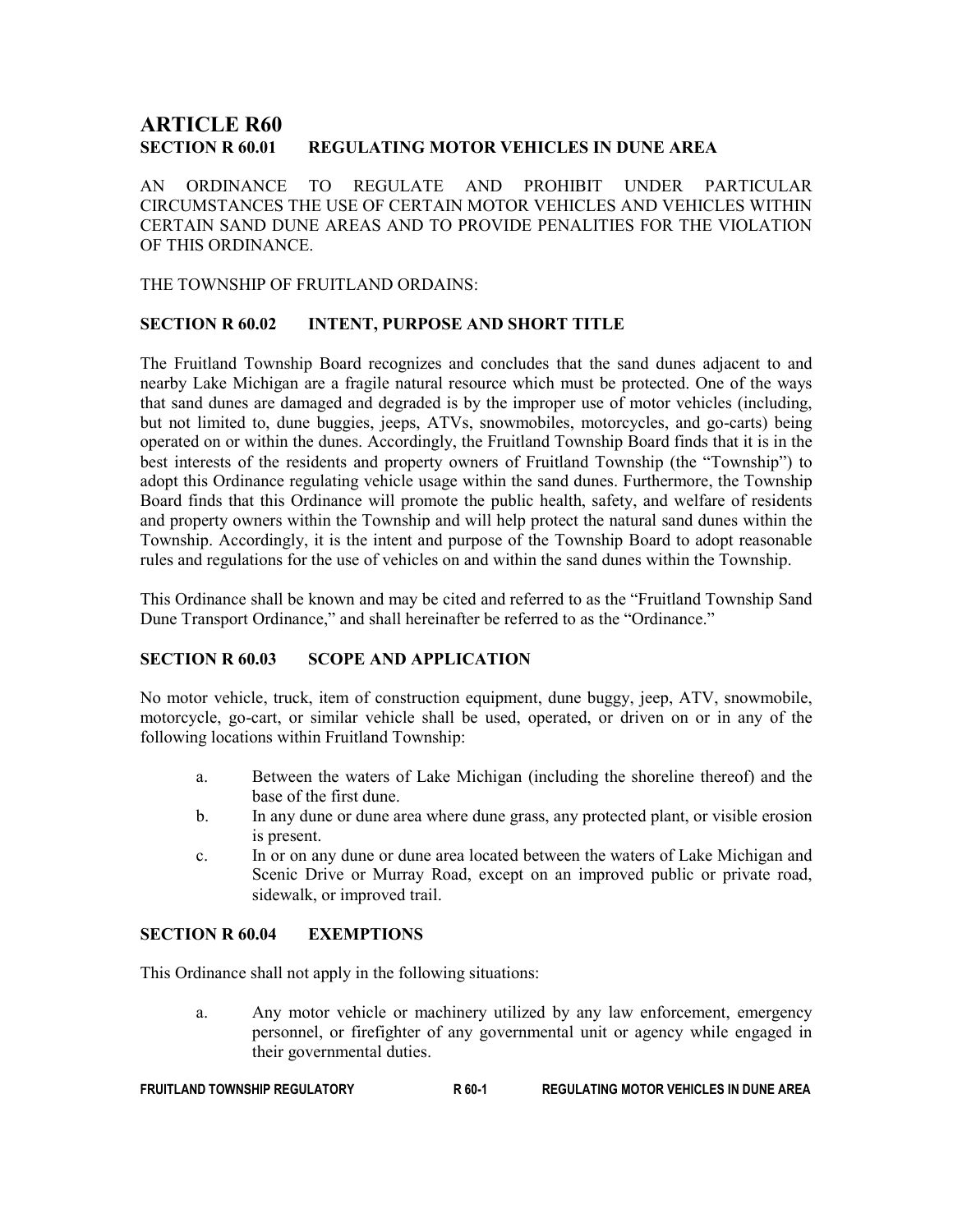# **ARTICLE R60<br>section r 60.01** REGULATING MOTOR VEHICLES IN DUNE AREA

AN ORDINANCE TO REGULATE AND PROHIBIT UNDER PARTICULAR CIRCUMSTANCES THE USE OF CERTAIN MOTOR VEHICLES AND VEHICLES WITHIN CERTAIN SAND DUNE AREAS AND TO PROVIDE PENALITIES FOR THE VIOLATION OF THIS ORDINANCE.

THE TOWNSHIP OF FRUITLAND ORDAINS:

## SECTION R 60.02 INTENT, PURPOSE AND SHORT TITLE

The Fruitland Township Board recognizes and concludes that the sand dunes adjacent to and nearby Lake Michigan are a fragile natural resource which must be protected. One of the ways that sand dunes are damaged and degraded is by the improper use of motor vehicles (including, but not limited to, dune buggies, jeeps, ATVs, snowmobiles, motorcycles, and go-carts) being operated on or within the dunes. Accordingly, the Fruitland Township Board finds that it is in the best interests of the residents and property owners of Fruitland Township (the "Township") to adopt this Ordinance regulating vehicle usage within the sand dunes. Furthermore, the Township Board finds that this Ordinance will promote the public health, safety, and welfare of residents and property owners within the Township and will help protect the natural sand dunes within the Township. Accordingly, it is the intent and purpose of the Township Board to adopt reasonable rules and regulations for the use of vehicles on and within the sand dunes within the Township.

This Ordinance shall be known and may be cited and referred to as the "Fruitland Township Sand Dune Transport Ordinance," and shall hereinafter be referred to as the "Ordinance."

## SECTION R 60.03 SCOPE AND APPLICATION

No motor vehicle, truck, item of construction equipment, dune buggy, jeep, ATV, snowmobile, motorcycle, go-cart, or similar vehicle shall be used, operated, or driven on or in any of the following locations within Fruitland Township:

- a. Between the waters of Lake Michigan (including the shoreline thereof) and the base of the first dune.
- b. In any dune or dune area where dune grass, any protected plant, or visible erosion is present.
- c. In or on any dune or dune area located between the waters of Lake Michigan and Scenic Drive or Murray Road, except on an improved public or private road, sidewalk, or improved trail.

## SECTION R 60.04 EXEMPTIONS

This Ordinance shall not apply in the following situations:

a. Any motor vehicle or machinery utilized by any law enforcement, emergency personnel, or firefighter of any governmental unit or agency while engaged in their governmental duties.

FRUITLAND TOWNSHIP REGULATORY R 60-1 REGULATING MOTOR VEHICLES IN DUNE AREA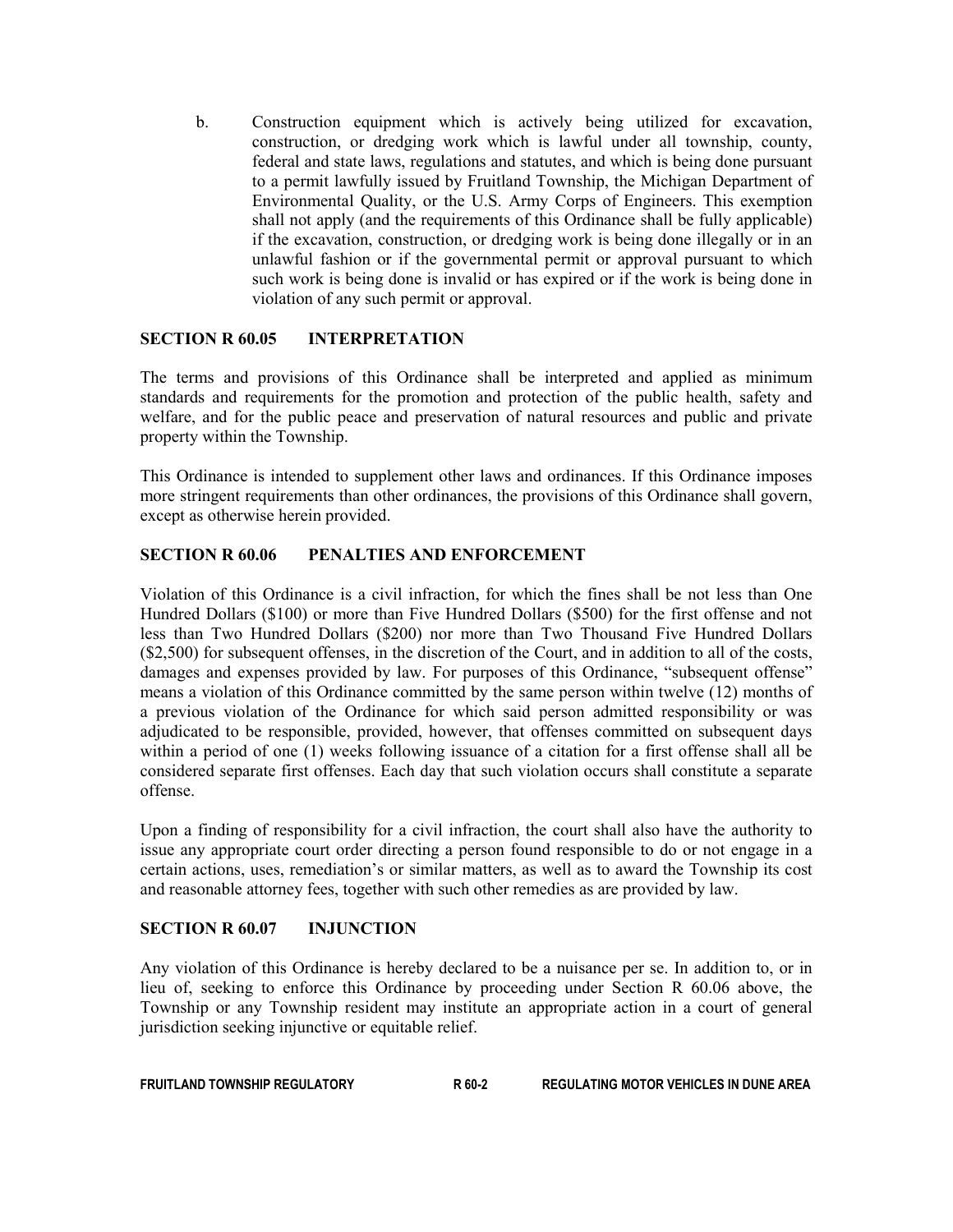b. Construction equipment which is actively being utilized for excavation, construction, or dredging work which is lawful under all township, county, federal and state laws, regulations and statutes, and which is being done pursuant to a permit lawfully issued by Fruitland Township, the Michigan Department of Environmental Quality, or the U.S. Army Corps of Engineers. This exemption shall not apply (and the requirements of this Ordinance shall be fully applicable) if the excavation, construction, or dredging work is being done illegally or in an unlawful fashion or if the governmental permit or approval pursuant to which such work is being done is invalid or has expired or if the work is being done in violation of any such permit or approval.

## SECTION R 60.05 INTERPRETATION

The terms and provisions of this Ordinance shall be interpreted and applied as minimum standards and requirements for the promotion and protection of the public health, safety and welfare, and for the public peace and preservation of natural resources and public and private property within the Township.

This Ordinance is intended to supplement other laws and ordinances. If this Ordinance imposes more stringent requirements than other ordinances, the provisions of this Ordinance shall govern, except as otherwise herein provided.

## SECTION R 60.06 PENALTIES AND ENFORCEMENT

Violation of this Ordinance is a civil infraction, for which the fines shall be not less than One Hundred Dollars (\$100) or more than Five Hundred Dollars (\$500) for the first offense and not less than Two Hundred Dollars (\$200) nor more than Two Thousand Five Hundred Dollars (\$2,500) for subsequent offenses, in the discretion of the Court, and in addition to all of the costs, damages and expenses provided by law. For purposes of this Ordinance, "subsequent offense" means a violation of this Ordinance committed by the same person within twelve (12) months of a previous violation of the Ordinance for which said person admitted responsibility or was adjudicated to be responsible, provided, however, that offenses committed on subsequent days within a period of one (1) weeks following issuance of a citation for a first offense shall all be considered separate first offenses. Each day that such violation occurs shall constitute a separate offense.

Upon a finding of responsibility for a civil infraction, the court shall also have the authority to issue any appropriate court order directing a person found responsible to do or not engage in a certain actions, uses, remediation's or similar matters, as well as to award the Township its cost and reasonable attorney fees, together with such other remedies as are provided by law.

## SECTION R 60.07 INJUNCTION

Any violation of this Ordinance is hereby declared to be a nuisance per se. In addition to, or in lieu of, seeking to enforce this Ordinance by proceeding under Section R 60.06 above, the Township or any Township resident may institute an appropriate action in a court of general jurisdiction seeking injunctive or equitable relief.

| <b>FRUITLAND TOWNSHIP REGULATORY</b> | R 60-2 | <b>REGULATING MOTOR VEHICLES IN DUNE AREA</b> |
|--------------------------------------|--------|-----------------------------------------------|
|--------------------------------------|--------|-----------------------------------------------|